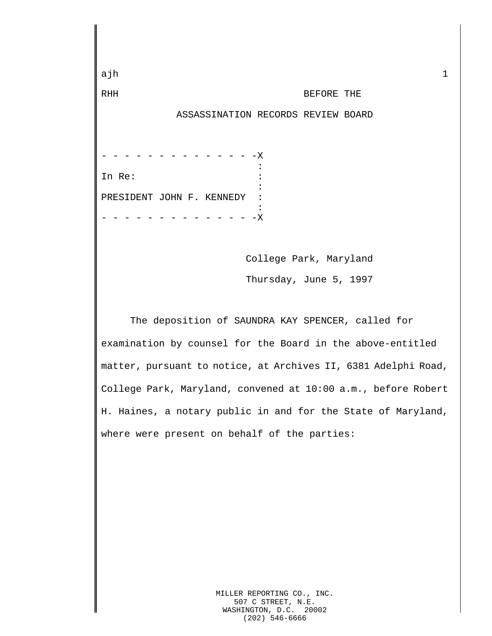ajh 1 RHH BEFORE THE ASSASSINATION RECORDS REVIEW BOARD - - - -X<br>: <u>: Contract Contract Contract Contract Contract Contract Contract Contract Contract Contract Contract Contract</u> In Re:  $\qquad \qquad :$ <u>: Containing the Containing State Containing</u> PRESIDENT JOHN F. KENNEDY : <u>: Contract Contract Contract Contract Contract Contract Contract Contract Contract Contract Contract Contract</u> - - - - X College Park, Maryland Thursday, June 5, 1997 The deposition of SAUNDRA KAY SPENCER, called for examination by counsel for the Board in the above-entitled matter, pursuant to notice, at Archives II, 6381 Adelphi Road, College Park, Maryland, convened at 10:00 a.m., before Robert H. Haines, a notary public in and for the State of Maryland, where were present on behalf of the parties:

> MILLER REPORTING CO., INC. 507 C STREET, N.E. WASHINGTON, D.C. 20002 (202) 546-6666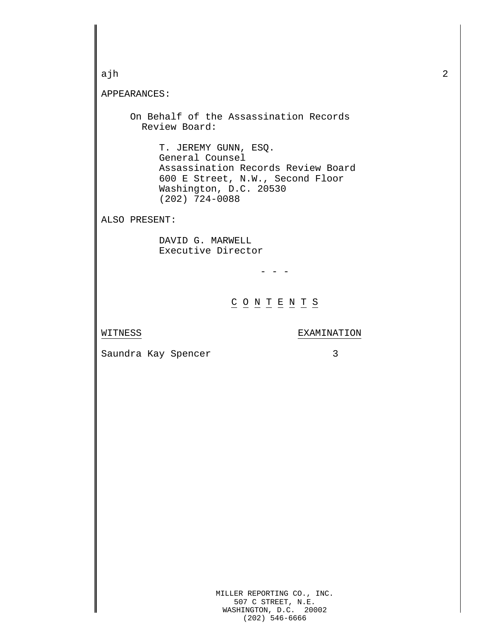```
MILLER REPORTING CO., INC.
                      507 C STREET, N.E.
ajh 2
APPEARANCES:
     On Behalf of the Assassination Records
        Review Board:
          T. JEREMY GUNN, ESQ.
          General Counsel
          Assassination Records Review Board
          600 E Street, N.W., Second Floor
          Washington, D.C. 20530
          (202) 724-0088
ALSO PRESENT:
          DAVID G. MARWELL
          Executive Director
                            - - -\underline{C} \underline{O} \underline{N} \underline{T} \underline{E} \underline{N} \underline{T} \underline{S}WITNESS EXAMINATION
Saundra Kay Spencer 3
```
WASHINGTON, D.C. 20002 (202) 546-6666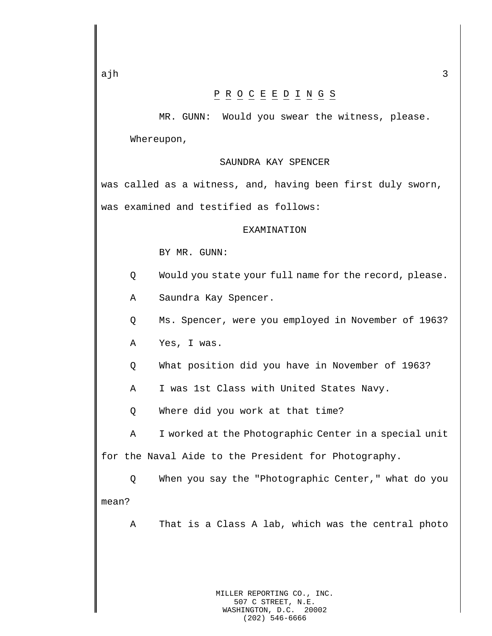## P R O C E E D I N G S

MR. GUNN: Would you swear the witness, please. Whereupon,

## SAUNDRA KAY SPENCER

was called as a witness, and, having been first duly sworn, was examined and testified as follows:

## EXAMINATION

BY MR. GUNN:

- Q Would you state your full name for the record, please.
- A Saundra Kay Spencer.
- Q Ms. Spencer, were you employed in November of 1963?

A Yes, I was.

- Q What position did you have in November of 1963?
- A I was 1st Class with United States Navy.
- Q Where did you work at that time?

A I worked at the Photographic Center in a special unit for the Naval Aide to the President for Photography.

Q When you say the "Photographic Center," what do you mean?

A That is a Class A lab, which was the central photo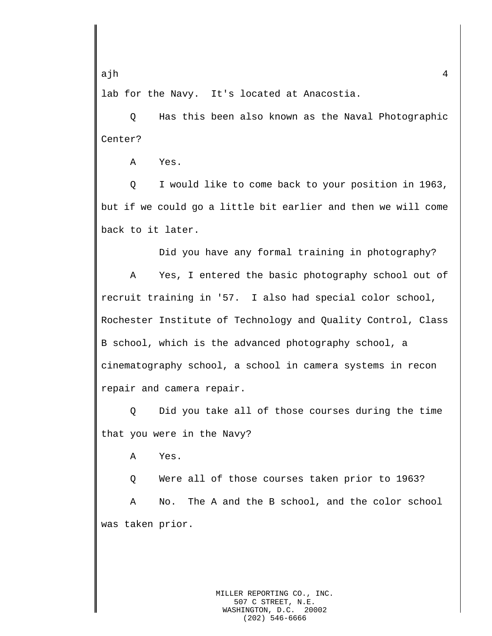lab for the Navy. It's located at Anacostia.

Q Has this been also known as the Naval Photographic Center?

A Yes.

Q I would like to come back to your position in 1963, but if we could go a little bit earlier and then we will come back to it later.

Did you have any formal training in photography?

A Yes, I entered the basic photography school out of recruit training in '57. I also had special color school, Rochester Institute of Technology and Quality Control, Class B school, which is the advanced photography school, a cinematography school, a school in camera systems in recon repair and camera repair.

Q Did you take all of those courses during the time that you were in the Navy?

A Yes.

Q Were all of those courses taken prior to 1963? A No. The A and the B school, and the color school was taken prior.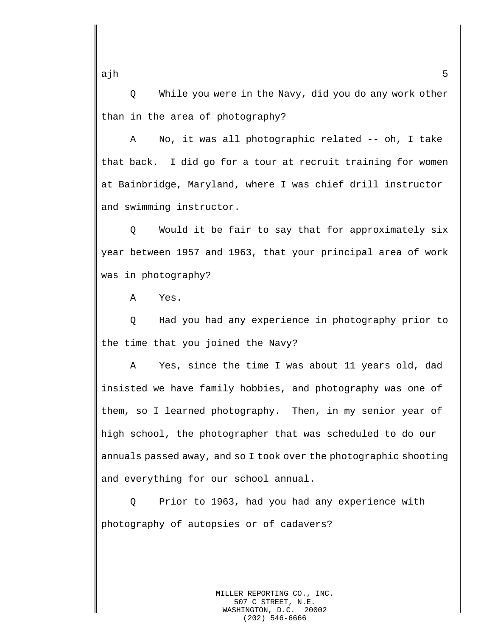Q While you were in the Navy, did you do any work other than in the area of photography?

A No, it was all photographic related -- oh, I take that back. I did go for a tour at recruit training for women at Bainbridge, Maryland, where I was chief drill instructor and swimming instructor.

Q Would it be fair to say that for approximately six year between 1957 and 1963, that your principal area of work was in photography?

A Yes.

Q Had you had any experience in photography prior to the time that you joined the Navy?

A Yes, since the time I was about 11 years old, dad insisted we have family hobbies, and photography was one of them, so I learned photography. Then, in my senior year of high school, the photographer that was scheduled to do our annuals passed away, and so I took over the photographic shooting and everything for our school annual.

Q Prior to 1963, had you had any experience with photography of autopsies or of cadavers?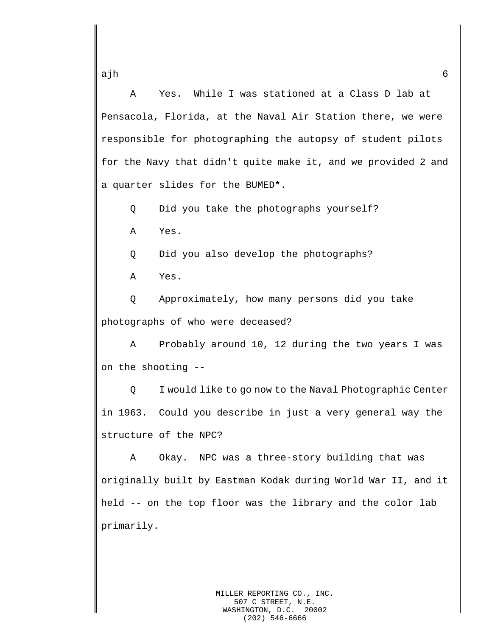A Yes. While I was stationed at a Class D lab at Pensacola, Florida, at the Naval Air Station there, we were responsible for photographing the autopsy of student pilots for the Navy that didn't quite make it, and we provided 2 and a quarter slides for the BUMED**\***.

Q Did you take the photographs yourself?

A Yes.

Q Did you also develop the photographs?

A Yes.

Q Approximately, how many persons did you take photographs of who were deceased?

A Probably around 10, 12 during the two years I was on the shooting --

Q I would like to go now to the Naval Photographic Center in 1963. Could you describe in just a very general way the structure of the NPC?

A Okay. NPC was a three-story building that was originally built by Eastman Kodak during World War II, and it held -- on the top floor was the library and the color lab primarily.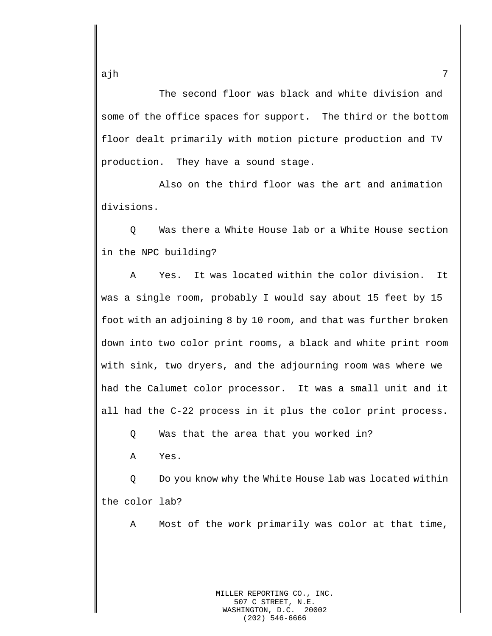The second floor was black and white division and some of the office spaces for support. The third or the bottom floor dealt primarily with motion picture production and TV production. They have a sound stage.

Also on the third floor was the art and animation divisions.

Q Was there a White House lab or a White House section in the NPC building?

A Yes. It was located within the color division. It was a single room, probably I would say about 15 feet by 15 foot with an adjoining 8 by 10 room, and that was further broken down into two color print rooms, a black and white print room with sink, two dryers, and the adjourning room was where we had the Calumet color processor. It was a small unit and it all had the C-22 process in it plus the color print process.

Q Was that the area that you worked in?

A Yes.

Q Do you know why the White House lab was located within the color lab?

A Most of the work primarily was color at that time,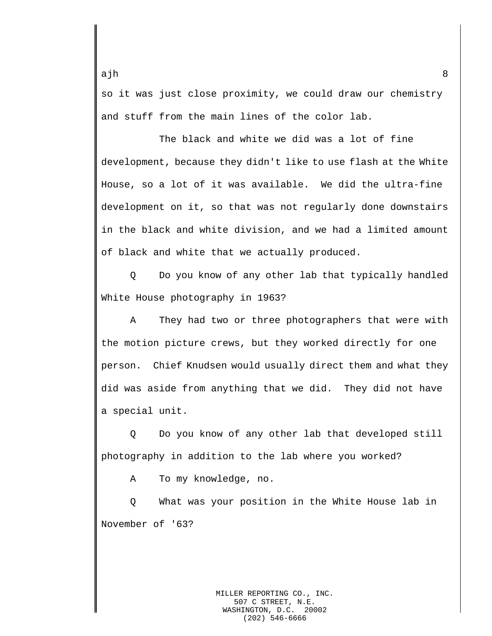so it was just close proximity, we could draw our chemistry and stuff from the main lines of the color lab.

The black and white we did was a lot of fine development, because they didn't like to use flash at the White House, so a lot of it was available. We did the ultra-fine development on it, so that was not regularly done downstairs in the black and white division, and we had a limited amount of black and white that we actually produced.

Q Do you know of any other lab that typically handled White House photography in 1963?

A They had two or three photographers that were with the motion picture crews, but they worked directly for one person. Chief Knudsen would usually direct them and what they did was aside from anything that we did. They did not have a special unit.

Q Do you know of any other lab that developed still photography in addition to the lab where you worked?

A To my knowledge, no.

Q What was your position in the White House lab in November of '63?

> MILLER REPORTING CO., INC. 507 C STREET, N.E. WASHINGTON, D.C. 20002 (202) 546-6666

ajh 8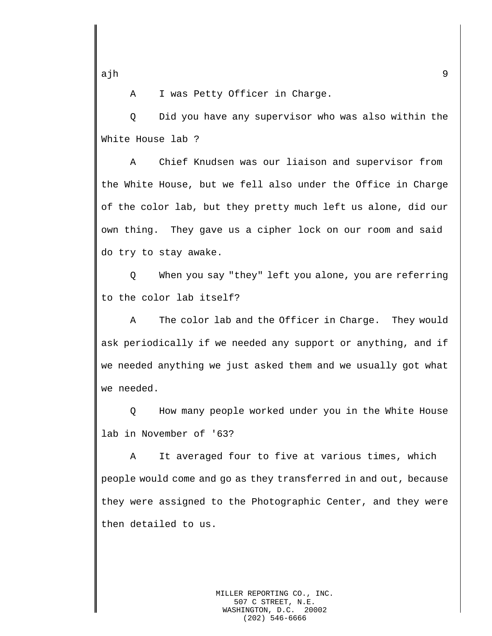A I was Petty Officer in Charge.

Q Did you have any supervisor who was also within the White House lab ?

A Chief Knudsen was our liaison and supervisor from the White House, but we fell also under the Office in Charge of the color lab, but they pretty much left us alone, did our own thing. They gave us a cipher lock on our room and said do try to stay awake.

Q When you say "they" left you alone, you are referring to the color lab itself?

A The color lab and the Officer in Charge. They would ask periodically if we needed any support or anything, and if we needed anything we just asked them and we usually got what we needed.

Q How many people worked under you in the White House lab in November of '63?

A It averaged four to five at various times, which people would come and go as they transferred in and out, because they were assigned to the Photographic Center, and they were then detailed to us.

> MILLER REPORTING CO., INC. 507 C STREET, N.E.<br>SHINGTON, D.C. 20002 WASHINGTON, D.C. (202) 546-6666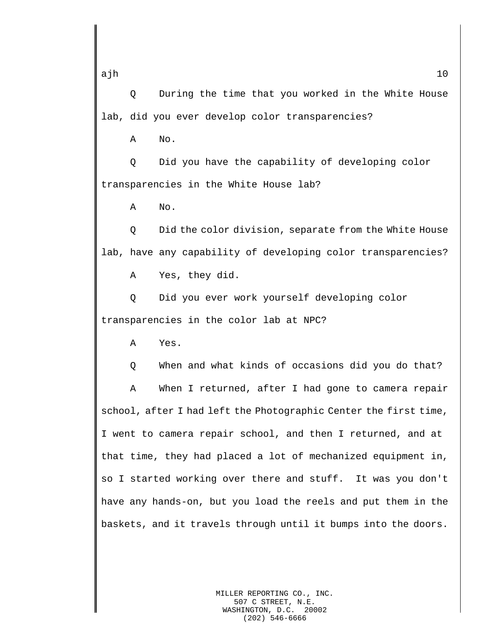Q During the time that you worked in the White House lab, did you ever develop color transparencies?

A No.

Q Did you have the capability of developing color transparencies in the White House lab?

A No.

Q Did the color division, separate from the White House lab, have any capability of developing color transparencies?

A Yes, they did.

Q Did you ever work yourself developing color transparencies in the color lab at NPC?

A Yes.

Q When and what kinds of occasions did you do that?

A When I returned, after I had gone to camera repair school, after I had left the Photographic Center the first time, I went to camera repair school, and then I returned, and at that time, they had placed a lot of mechanized equipment in, so I started working over there and stuff. It was you don't have any hands-on, but you load the reels and put them in the baskets, and it travels through until it bumps into the doors.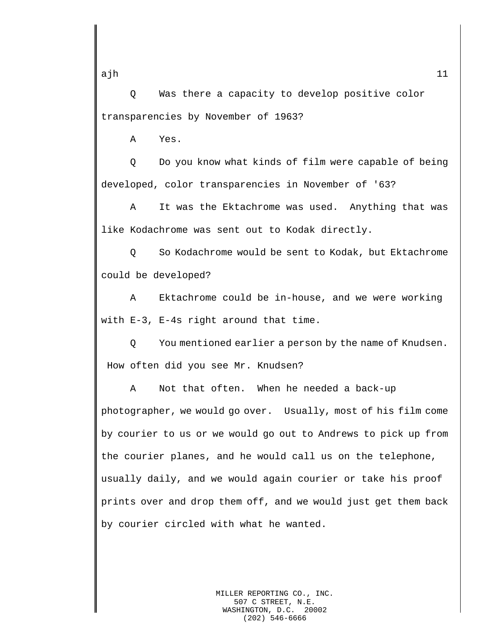ajh <sup>11</sup>

Q Was there a capacity to develop positive color transparencies by November of 1963?

A Yes.

Q Do you know what kinds of film were capable of being developed, color transparencies in November of '63?

A It was the Ektachrome was used. Anything that was like Kodachrome was sent out to Kodak directly.

Q So Kodachrome would be sent to Kodak, but Ektachrome could be developed?

A Ektachrome could be in-house, and we were working with E-3, E-4s right around that time.

Q You mentioned earlier a person by the name of Knudsen. How often did you see Mr. Knudsen?

A Not that often. When he needed a back-up photographer, we would go over. Usually, most of his film come by courier to us or we would go out to Andrews to pick up from the courier planes, and he would call us on the telephone, usually daily, and we would again courier or take his proof prints over and drop them off, and we would just get them back by courier circled with what he wanted.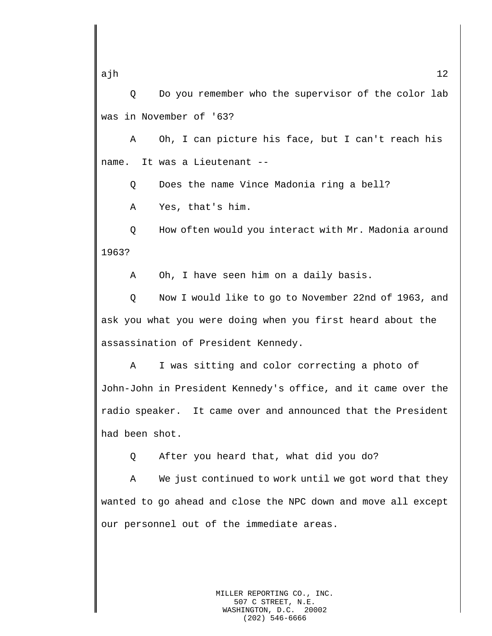Q Do you remember who the supervisor of the color lab was in November of '63?

A Oh, I can picture his face, but I can't reach his name. It was a Lieutenant --

Q Does the name Vince Madonia ring a bell?

A Yes, that's him.

Q How often would you interact with Mr. Madonia around 1963?

A Oh, I have seen him on a daily basis.

Q Now I would like to go to November 22nd of 1963, and ask you what you were doing when you first heard about the assassination of President Kennedy.

A I was sitting and color correcting a photo of John-John in President Kennedy's office, and it came over the radio speaker. It came over and announced that the President had been shot.

Q After you heard that, what did you do?

A We just continued to work until we got word that they wanted to go ahead and close the NPC down and move all except our personnel out of the immediate areas.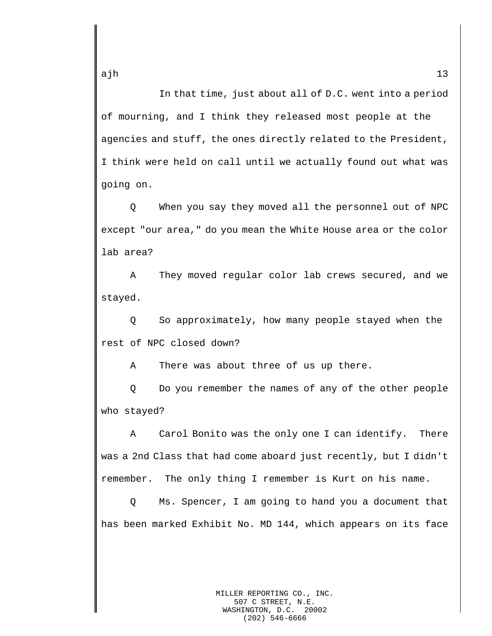In that time, just about all of D.C. went into a period of mourning, and I think they released most people at the agencies and stuff, the ones directly related to the President, I think were held on call until we actually found out what was going on.

Q When you say they moved all the personnel out of NPC except "our area," do you mean the White House area or the color lab area?

A They moved regular color lab crews secured, and we stayed.

Q So approximately, how many people stayed when the rest of NPC closed down?

A There was about three of us up there.

Q Do you remember the names of any of the other people who stayed?

A Carol Bonito was the only one I can identify. There was a 2nd Class that had come aboard just recently, but I didn't remember. The only thing I remember is Kurt on his name.

Q Ms. Spencer, I am going to hand you a document that has been marked Exhibit No. MD 144, which appears on its face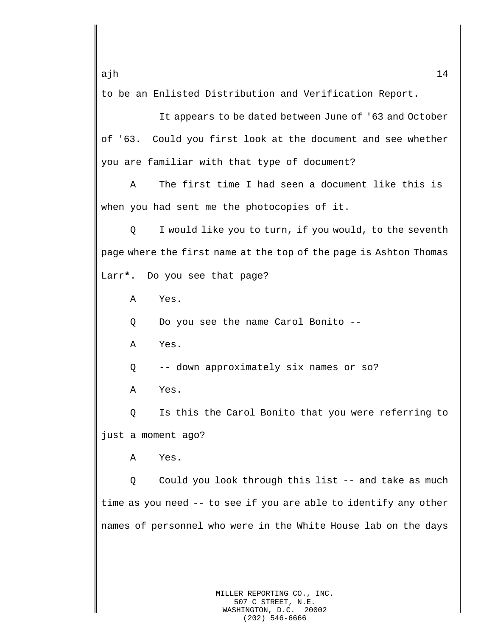to be an Enlisted Distribution and Verification Report.

It appears to be dated between June of '63 and October of '63. Could you first look at the document and see whether you are familiar with that type of document?

A The first time I had seen a document like this is when you had sent me the photocopies of it.

Q I would like you to turn, if you would, to the seventh page where the first name at the top of the page is Ashton Thomas Larr**\***. Do you see that page?

A Yes.

Q Do you see the name Carol Bonito --

A Yes.

Q -- down approximately six names or so?

A Yes.

Q Is this the Carol Bonito that you were referring to just a moment ago?

A Yes.

Q Could you look through this list -- and take as much time as you need -- to see if you are able to identify any other names of personnel who were in the White House lab on the days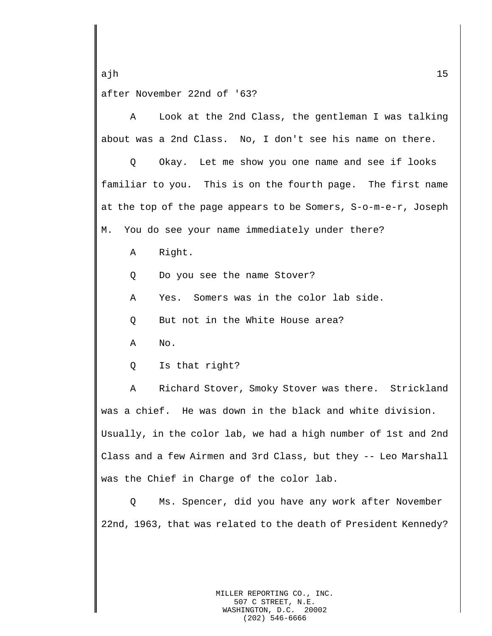ajh 15 after November 22nd of '63?

A Look at the 2nd Class, the gentleman I was talking about was a 2nd Class. No, I don't see his name on there.

Q Okay. Let me show you one name and see if looks familiar to you. This is on the fourth page. The first name at the top of the page appears to be Somers, S-o-m-e-r, Joseph M. You do see your name immediately under there?

A Right.

Q Do you see the name Stover?

A Yes. Somers was in the color lab side.

Q But not in the White House area?

A No.

Q Is that right?

A Richard Stover, Smoky Stover was there. Strickland was a chief. He was down in the black and white division. Usually, in the color lab, we had a high number of 1st and 2nd Class and a few Airmen and 3rd Class, but they -- Leo Marshall was the Chief in Charge of the color lab.

Q Ms. Spencer, did you have any work after November 22nd, 1963, that was related to the death of President Kennedy?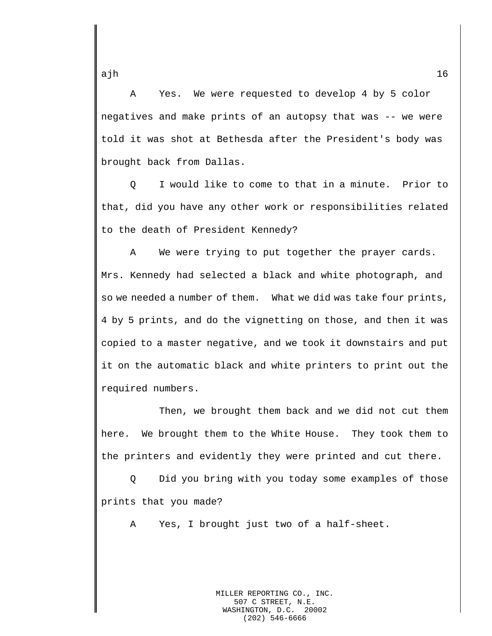A Yes. We were requested to develop 4 by 5 color negatives and make prints of an autopsy that was -- we were told it was shot at Bethesda after the President's body was brought back from Dallas.

Q I would like to come to that in a minute. Prior to that, did you have any other work or responsibilities related to the death of President Kennedy?

A We were trying to put together the prayer cards. Mrs. Kennedy had selected a black and white photograph, and so we needed a number of them. What we did was take four prints, 4 by 5 prints, and do the vignetting on those, and then it was copied to a master negative, and we took it downstairs and put it on the automatic black and white printers to print out the required numbers.

Then, we brought them back and we did not cut them here. We brought them to the White House. They took them to the printers and evidently they were printed and cut there.

Q Did you bring with you today some examples of those prints that you made?

A Yes, I brought just two of a half-sheet.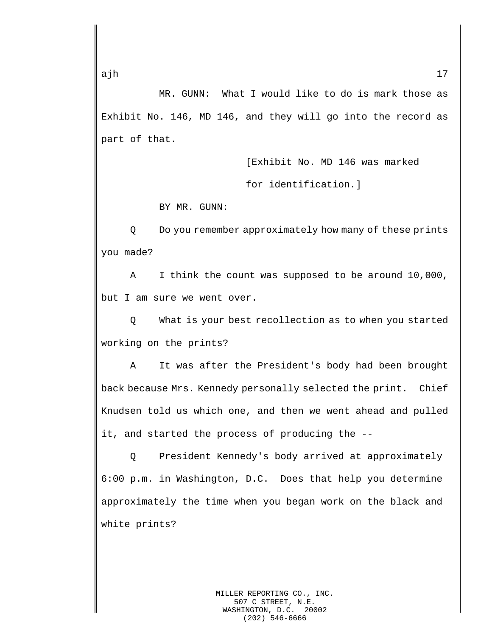MR. GUNN: What I would like to do is mark those as Exhibit No. 146, MD 146, and they will go into the record as part of that.

> [Exhibit No. MD 146 was marked for identification.]

BY MR. GUNN:

Q Do you remember approximately how many of these prints you made?

A I think the count was supposed to be around 10,000, but I am sure we went over.

Q What is your best recollection as to when you started working on the prints?

A It was after the President's body had been brought back because Mrs. Kennedy personally selected the print. Chief Knudsen told us which one, and then we went ahead and pulled it, and started the process of producing the --

Q President Kennedy's body arrived at approximately 6:00 p.m. in Washington, D.C. Does that help you determine approximately the time when you began work on the black and white prints?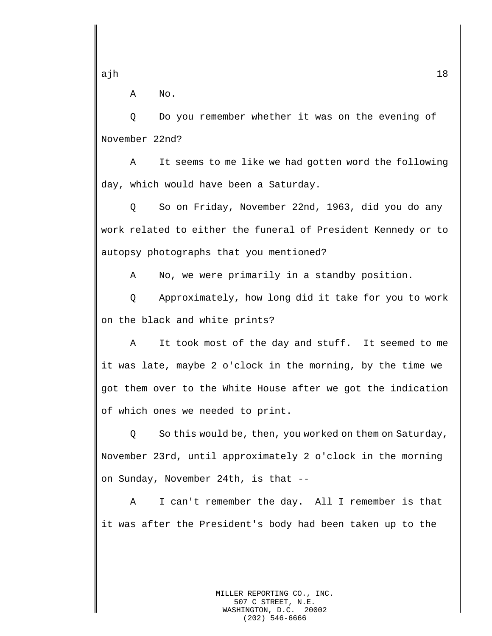A No.

Q Do you remember whether it was on the evening of November 22nd?

A It seems to me like we had gotten word the following day, which would have been a Saturday.

Q So on Friday, November 22nd, 1963, did you do any work related to either the funeral of President Kennedy or to autopsy photographs that you mentioned?

A No, we were primarily in a standby position.

Q Approximately, how long did it take for you to work on the black and white prints?

A It took most of the day and stuff. It seemed to me it was late, maybe 2 o'clock in the morning, by the time we got them over to the White House after we got the indication of which ones we needed to print.

Q So this would be, then, you worked on them on Saturday, November 23rd, until approximately 2 o'clock in the morning on Sunday, November 24th, is that --

A I can't remember the day. All I remember is that it was after the President's body had been taken up to the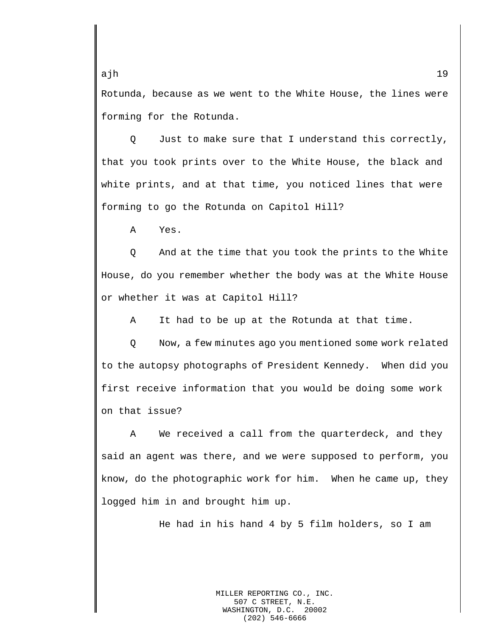Rotunda, because as we went to the White House, the lines were forming for the Rotunda.

Q Just to make sure that I understand this correctly, that you took prints over to the White House, the black and white prints, and at that time, you noticed lines that were forming to go the Rotunda on Capitol Hill?

A Yes.

Q And at the time that you took the prints to the White House, do you remember whether the body was at the White House or whether it was at Capitol Hill?

A It had to be up at the Rotunda at that time.

Q Now, a few minutes ago you mentioned some work related to the autopsy photographs of President Kennedy. When did you first receive information that you would be doing some work on that issue?

A We received a call from the quarterdeck, and they said an agent was there, and we were supposed to perform, you know, do the photographic work for him. When he came up, they logged him in and brought him up.

He had in his hand 4 by 5 film holders, so I am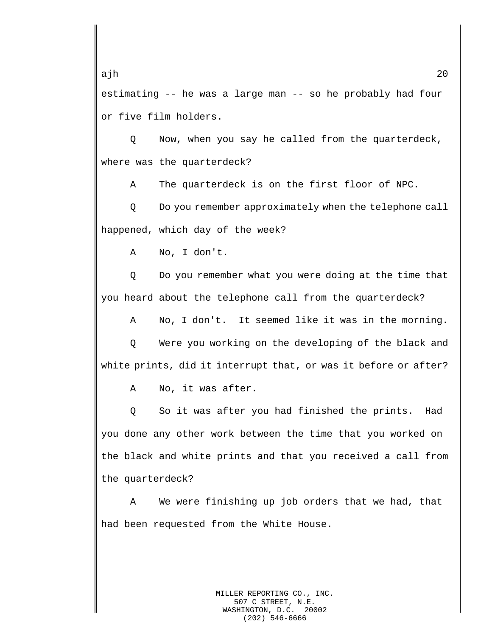ajh 20 estimating -- he was a large man -- so he probably had four or five film holders.

Q Now, when you say he called from the quarterdeck, where was the quarterdeck?

A The quarterdeck is on the first floor of NPC.

Q Do you remember approximately when the telephone call happened, which day of the week?

A No, I don't.

Q Do you remember what you were doing at the time that you heard about the telephone call from the quarterdeck?

A No, I don't. It seemed like it was in the morning.

Q Were you working on the developing of the black and white prints, did it interrupt that, or was it before or after?

A No, it was after.

Q So it was after you had finished the prints. Had you done any other work between the time that you worked on the black and white prints and that you received a call from the quarterdeck?

A We were finishing up job orders that we had, that had been requested from the White House.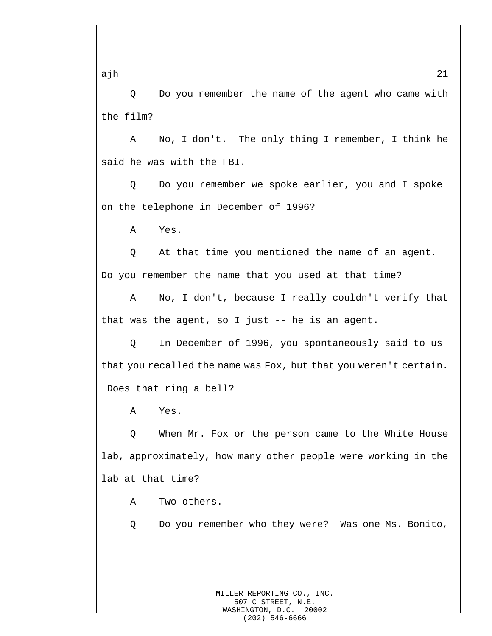Q Do you remember the name of the agent who came with the film?

A No, I don't. The only thing I remember, I think he said he was with the FBI.

Q Do you remember we spoke earlier, you and I spoke on the telephone in December of 1996?

A Yes.

Q At that time you mentioned the name of an agent. Do you remember the name that you used at that time?

A No, I don't, because I really couldn't verify that that was the agent, so I just -- he is an agent.

Q In December of 1996, you spontaneously said to us that you recalled the name was Fox, but that you weren't certain. Does that ring a bell?

A Yes.

Q When Mr. Fox or the person came to the White House lab, approximately, how many other people were working in the lab at that time?

A Two others.

Q Do you remember who they were? Was one Ms. Bonito,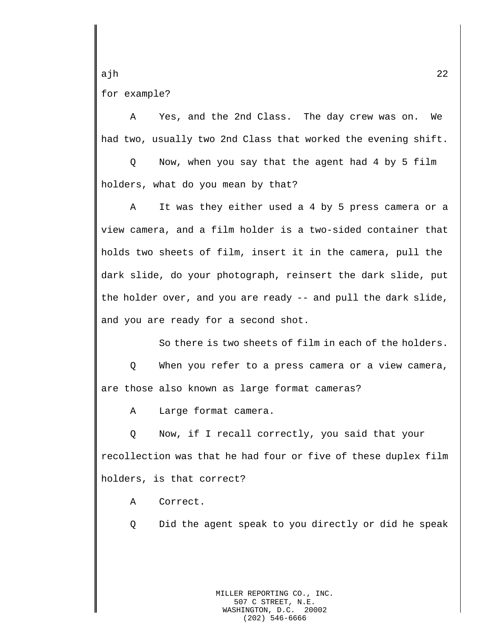ajh 22 for example?

A Yes, and the 2nd Class. The day crew was on. We had two, usually two 2nd Class that worked the evening shift.

Q Now, when you say that the agent had 4 by 5 film holders, what do you mean by that?

A It was they either used a 4 by 5 press camera or a view camera, and a film holder is a two-sided container that holds two sheets of film, insert it in the camera, pull the dark slide, do your photograph, reinsert the dark slide, put the holder over, and you are ready -- and pull the dark slide, and you are ready for a second shot.

So there is two sheets of film in each of the holders.

Q When you refer to a press camera or a view camera, are those also known as large format cameras?

A Large format camera.

Q Now, if I recall correctly, you said that your recollection was that he had four or five of these duplex film holders, is that correct?

A Correct.

Q Did the agent speak to you directly or did he speak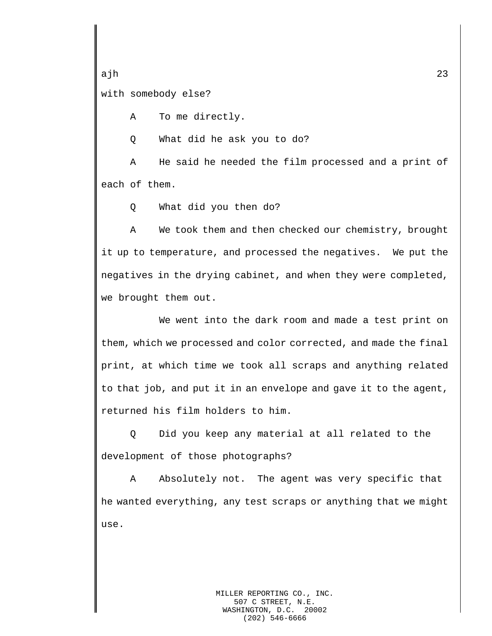ajh 23 with somebody else?

A To me directly.

Q What did he ask you to do?

A He said he needed the film processed and a print of each of them.

Q What did you then do?

A We took them and then checked our chemistry, brought it up to temperature, and processed the negatives. We put the negatives in the drying cabinet, and when they were completed, we brought them out.

We went into the dark room and made a test print on them, which we processed and color corrected, and made the final print, at which time we took all scraps and anything related to that job, and put it in an envelope and gave it to the agent, returned his film holders to him.

Q Did you keep any material at all related to the development of those photographs?

A Absolutely not. The agent was very specific that he wanted everything, any test scraps or anything that we might use.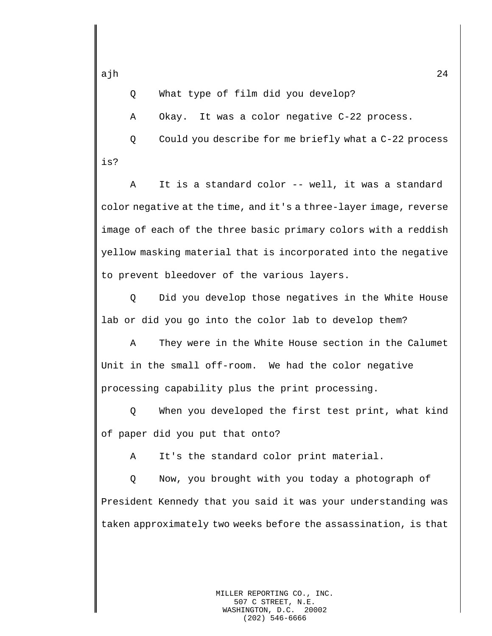Q What type of film did you develop?

A Okay. It was a color negative C-22 process.

Q Could you describe for me briefly what a C-22 process is?

A It is a standard color -- well, it was a standard color negative at the time, and it's a three-layer image, reverse image of each of the three basic primary colors with a reddish yellow masking material that is incorporated into the negative to prevent bleedover of the various layers.

Q Did you develop those negatives in the White House lab or did you go into the color lab to develop them?

A They were in the White House section in the Calumet Unit in the small off-room. We had the color negative processing capability plus the print processing.

Q When you developed the first test print, what kind of paper did you put that onto?

A It's the standard color print material.

Q Now, you brought with you today a photograph of President Kennedy that you said it was your understanding was taken approximately two weeks before the assassination, is that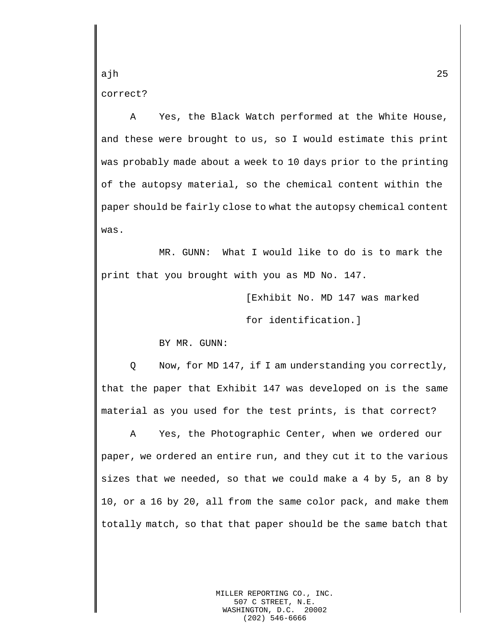ajh 25 correct?

A Yes, the Black Watch performed at the White House, and these were brought to us, so I would estimate this print was probably made about a week to 10 days prior to the printing of the autopsy material, so the chemical content within the paper should be fairly close to what the autopsy chemical content was.

MR. GUNN: What I would like to do is to mark the print that you brought with you as MD No. 147.

> [Exhibit No. MD 147 was marked for identification.]

BY MR. GUNN:

Q Now, for MD 147, if I am understanding you correctly, that the paper that Exhibit 147 was developed on is the same material as you used for the test prints, is that correct?

A Yes, the Photographic Center, when we ordered our paper, we ordered an entire run, and they cut it to the various sizes that we needed, so that we could make a 4 by 5, an 8 by 10, or a 16 by 20, all from the same color pack, and make them totally match, so that that paper should be the same batch that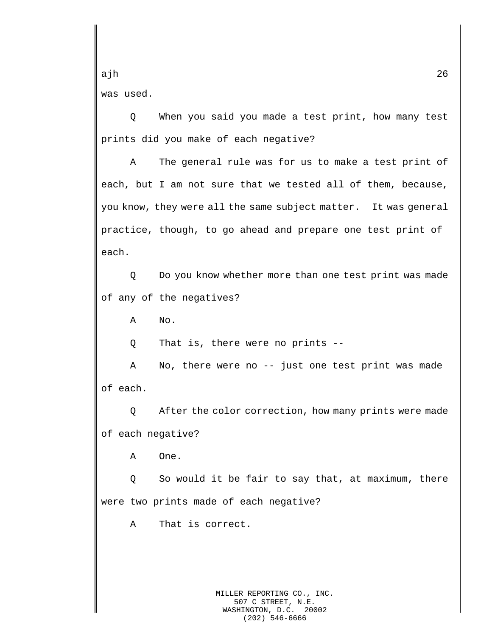ajh 26 was used.

Q When you said you made a test print, how many test prints did you make of each negative?

A The general rule was for us to make a test print of each, but I am not sure that we tested all of them, because, you know, they were all the same subject matter. It was general practice, though, to go ahead and prepare one test print of each.

Q Do you know whether more than one test print was made of any of the negatives?

A No.

Q That is, there were no prints --

A No, there were no -- just one test print was made of each.

Q After the color correction, how many prints were made of each negative?

A One.

Q So would it be fair to say that, at maximum, there were two prints made of each negative?

A That is correct.

MILLER REPORTING CO., INC. 507 C STREET, N.E. WASHINGTON, D.C. 20002 (202) 546-6666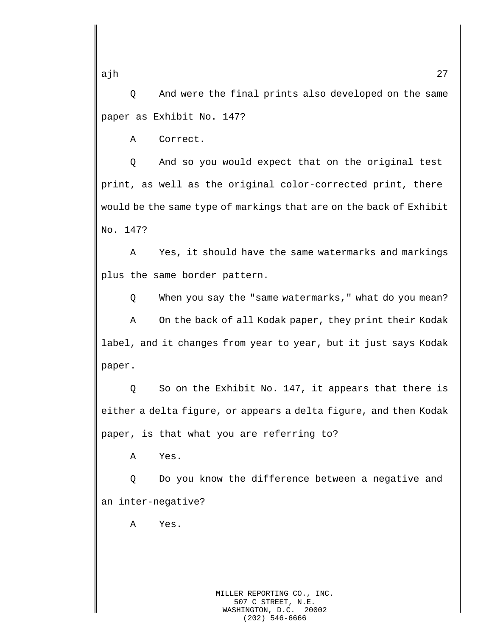Q And were the final prints also developed on the same paper as Exhibit No. 147?

A Correct.

Q And so you would expect that on the original test print, as well as the original color-corrected print, there would be the same type of markings that are on the back of Exhibit No. 147?

A Yes, it should have the same watermarks and markings plus the same border pattern.

Q When you say the "same watermarks," what do you mean?

A On the back of all Kodak paper, they print their Kodak label, and it changes from year to year, but it just says Kodak paper.

Q So on the Exhibit No. 147, it appears that there is either a delta figure, or appears a delta figure, and then Kodak paper, is that what you are referring to?

A Yes.

Q Do you know the difference between a negative and an inter-negative?

A Yes.

ajh 27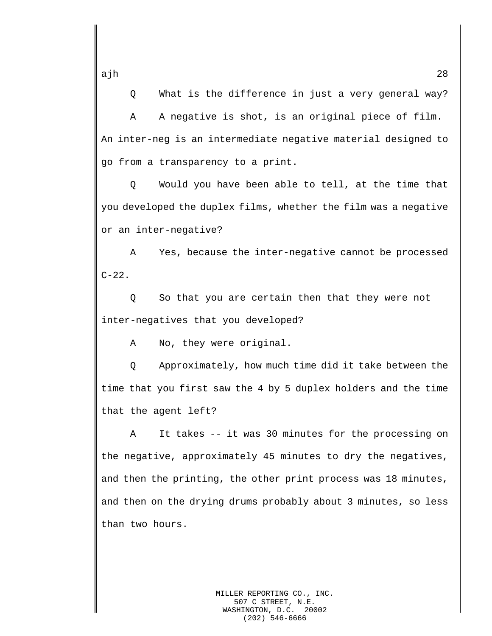Q What is the difference in just a very general way?

A A negative is shot, is an original piece of film. An inter-neg is an intermediate negative material designed to go from a transparency to a print.

Q Would you have been able to tell, at the time that you developed the duplex films, whether the film was a negative or an inter-negative?

A Yes, because the inter-negative cannot be processed  $C-22$ .

Q So that you are certain then that they were not inter-negatives that you developed?

A No, they were original.

Q Approximately, how much time did it take between the time that you first saw the 4 by 5 duplex holders and the time that the agent left?

A It takes -- it was 30 minutes for the processing on the negative, approximately 45 minutes to dry the negatives, and then the printing, the other print process was 18 minutes, and then on the drying drums probably about 3 minutes, so less than two hours.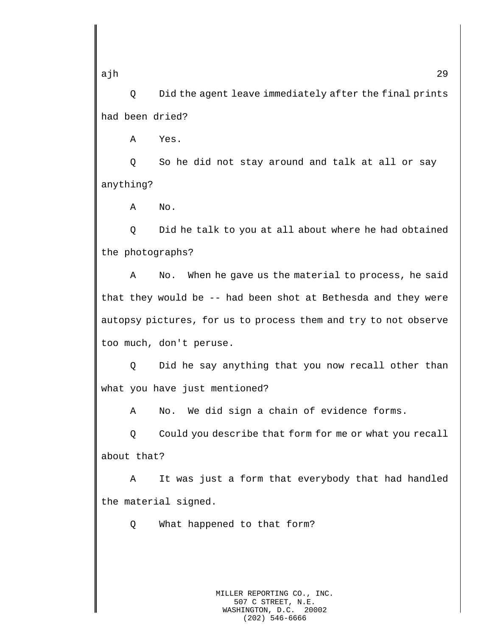Q Did the agent leave immediately after the final prints had been dried?

A Yes.

Q So he did not stay around and talk at all or say anything?

A No.

Q Did he talk to you at all about where he had obtained the photographs?

A No. When he gave us the material to process, he said that they would be -- had been shot at Bethesda and they were autopsy pictures, for us to process them and try to not observe too much, don't peruse.

Q Did he say anything that you now recall other than what you have just mentioned?

A No. We did sign a chain of evidence forms.

Q Could you describe that form for me or what you recall about that?

A It was just a form that everybody that had handled the material signed.

Q What happened to that form?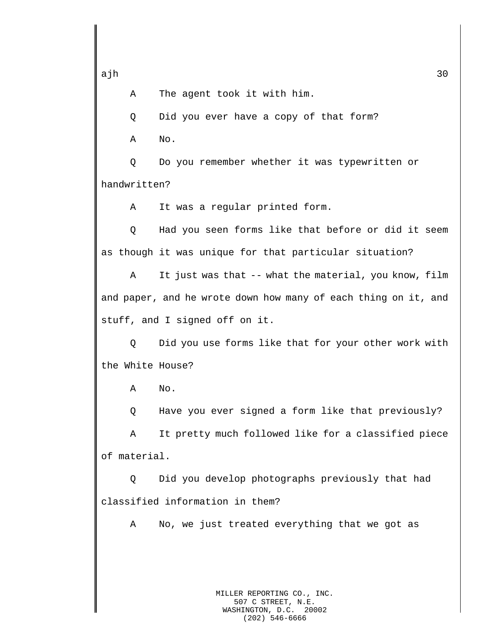A The agent took it with him.

Q Did you ever have a copy of that form?

A No.

Q Do you remember whether it was typewritten or handwritten?

A It was a regular printed form.

Q Had you seen forms like that before or did it seem as though it was unique for that particular situation?

A It just was that -- what the material, you know, film and paper, and he wrote down how many of each thing on it, and stuff, and I signed off on it.

Q Did you use forms like that for your other work with the White House?

A No.

Q Have you ever signed a form like that previously?

A It pretty much followed like for a classified piece of material.

Q Did you develop photographs previously that had classified information in them?

A No, we just treated everything that we got as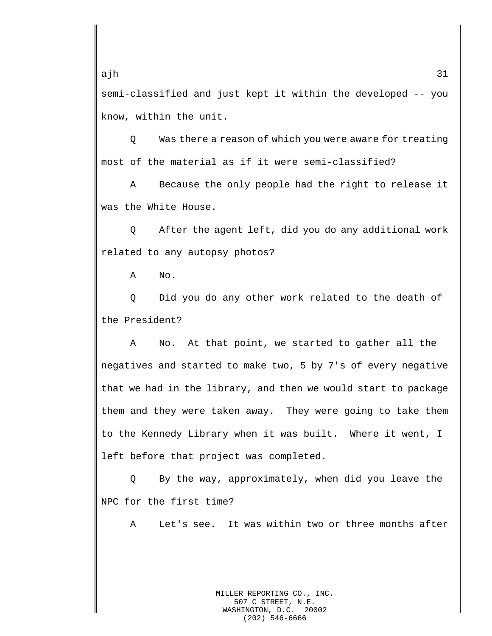semi-classified and just kept it within the developed -- you know, within the unit.

Q Was there a reason of which you were aware for treating most of the material as if it were semi-classified?

A Because the only people had the right to release it was the White House.

Q After the agent left, did you do any additional work related to any autopsy photos?

A No.

Q Did you do any other work related to the death of the President?

A No. At that point, we started to gather all the negatives and started to make two, 5 by 7's of every negative that we had in the library, and then we would start to package them and they were taken away. They were going to take them to the Kennedy Library when it was built. Where it went, I left before that project was completed.

Q By the way, approximately, when did you leave the NPC for the first time?

A Let's see. It was within two or three months after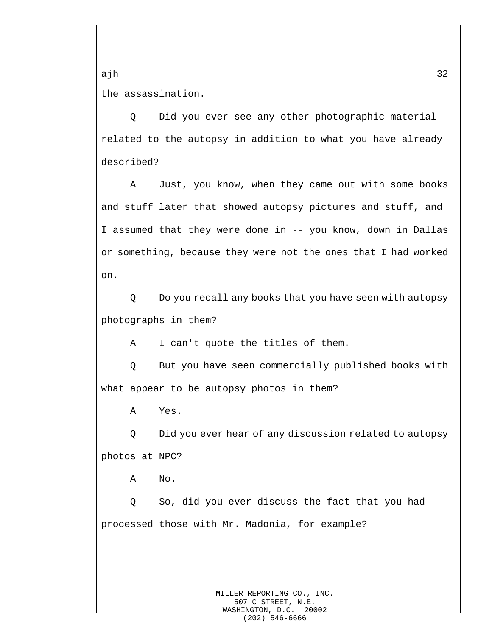ajh 32 the assassination.

Q Did you ever see any other photographic material related to the autopsy in addition to what you have already described?

A Just, you know, when they came out with some books and stuff later that showed autopsy pictures and stuff, and I assumed that they were done in -- you know, down in Dallas or something, because they were not the ones that I had worked on.

Q Do you recall any books that you have seen with autopsy photographs in them?

A I can't quote the titles of them.

Q But you have seen commercially published books with what appear to be autopsy photos in them?

A Yes.

Q Did you ever hear of any discussion related to autopsy photos at NPC?

A No.

Q So, did you ever discuss the fact that you had processed those with Mr. Madonia, for example?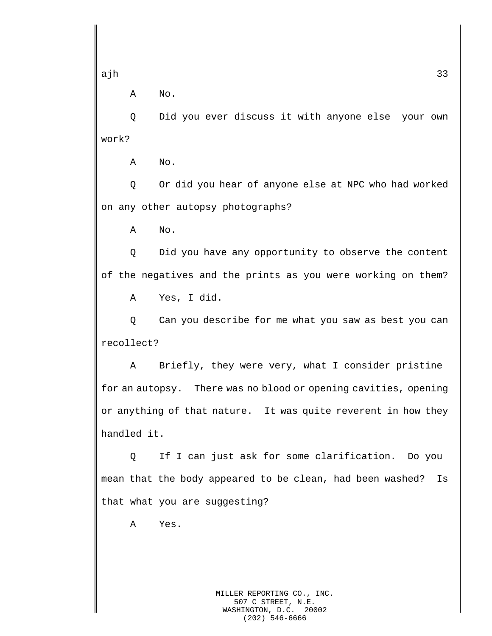A No.

Q Did you ever discuss it with anyone else your own work?

A No.

Q Or did you hear of anyone else at NPC who had worked on any other autopsy photographs?

A No.

Q Did you have any opportunity to observe the content of the negatives and the prints as you were working on them?

A Yes, I did.

Q Can you describe for me what you saw as best you can recollect?

A Briefly, they were very, what I consider pristine for an autopsy. There was no blood or opening cavities, opening or anything of that nature. It was quite reverent in how they handled it.

Q If I can just ask for some clarification. Do you mean that the body appeared to be clean, had been washed? Is that what you are suggesting?

A Yes.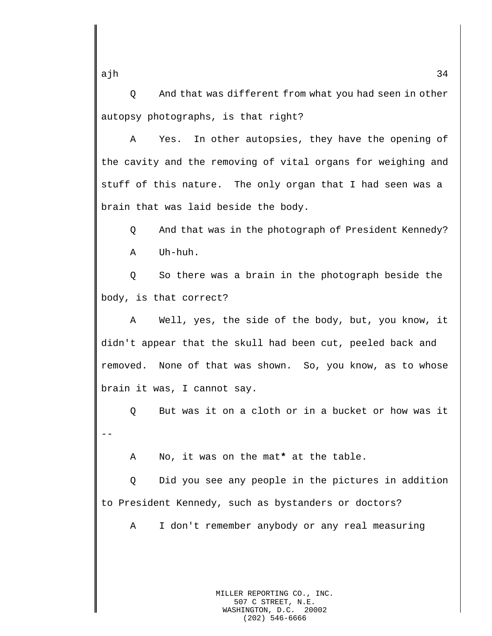Q And that was different from what you had seen in other autopsy photographs, is that right?

A Yes. In other autopsies, they have the opening of the cavity and the removing of vital organs for weighing and stuff of this nature. The only organ that I had seen was a brain that was laid beside the body.

Q And that was in the photograph of President Kennedy? A Uh-huh.

Q So there was a brain in the photograph beside the body, is that correct?

A Well, yes, the side of the body, but, you know, it didn't appear that the skull had been cut, peeled back and removed. None of that was shown. So, you know, as to whose brain it was, I cannot say.

Q But was it on a cloth or in a bucket or how was it --

A No, it was on the mat**\*** at the table.

Q Did you see any people in the pictures in addition to President Kennedy, such as bystanders or doctors?

A I don't remember anybody or any real measuring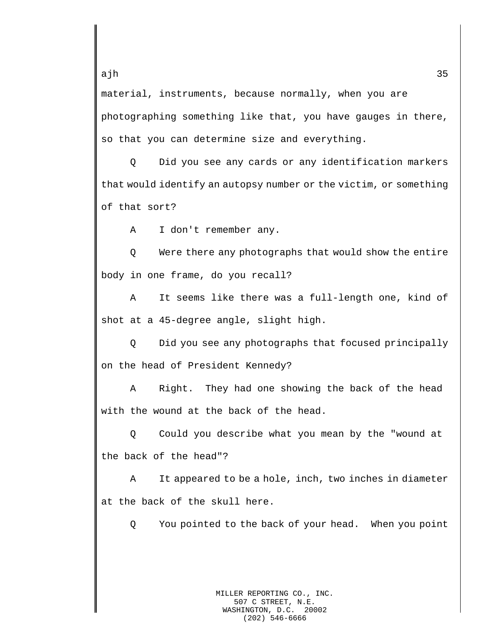material, instruments, because normally, when you are photographing something like that, you have gauges in there, so that you can determine size and everything.

Q Did you see any cards or any identification markers that would identify an autopsy number or the victim, or something of that sort?

A I don't remember any.

Q Were there any photographs that would show the entire body in one frame, do you recall?

A It seems like there was a full-length one, kind of shot at a 45-degree angle, slight high.

Q Did you see any photographs that focused principally on the head of President Kennedy?

A Right. They had one showing the back of the head with the wound at the back of the head.

Q Could you describe what you mean by the "wound at the back of the head"?

A It appeared to be a hole, inch, two inches in diameter at the back of the skull here.

Q You pointed to the back of your head. When you point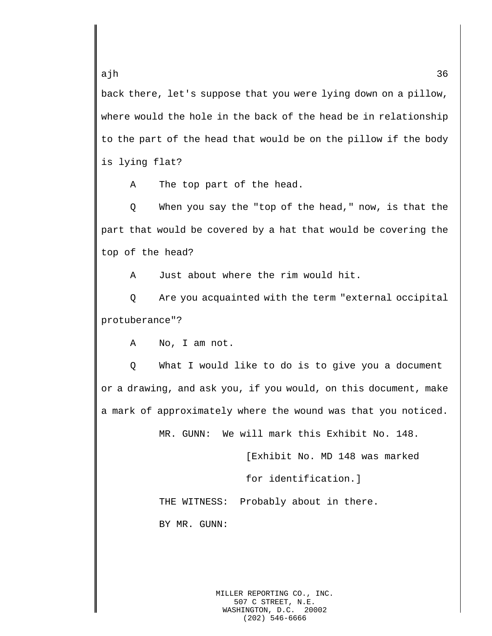back there, let's suppose that you were lying down on a pillow, where would the hole in the back of the head be in relationship to the part of the head that would be on the pillow if the body is lying flat?

A The top part of the head.

Q When you say the "top of the head," now, is that the part that would be covered by a hat that would be covering the top of the head?

A Just about where the rim would hit.

Q Are you acquainted with the term "external occipital protuberance"?

A No, I am not.

Q What I would like to do is to give you a document or a drawing, and ask you, if you would, on this document, make a mark of approximately where the wound was that you noticed.

MR. GUNN: We will mark this Exhibit No. 148.

[Exhibit No. MD 148 was marked

for identification.]

THE WITNESS: Probably about in there.

BY MR. GUNN:

MILLER REPORTING CO., INC. 507 C STREET, N.E. WASHINGTON, D.C. 20002 (202) 546-6666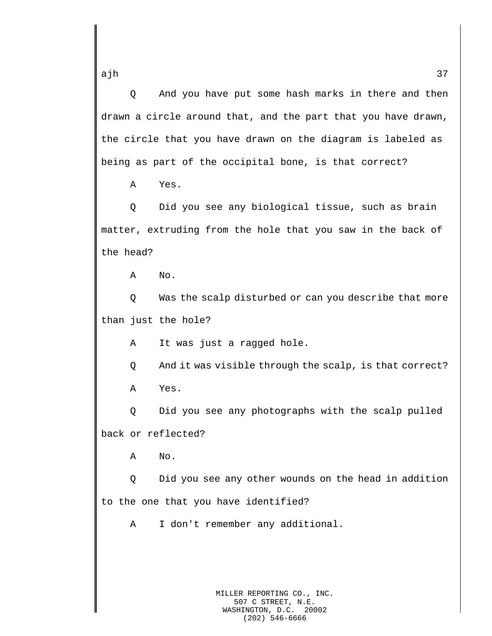Q And you have put some hash marks in there and then drawn a circle around that, and the part that you have drawn, the circle that you have drawn on the diagram is labeled as being as part of the occipital bone, is that correct?

A Yes.

Q Did you see any biological tissue, such as brain matter, extruding from the hole that you saw in the back of the head?

A No.

Q Was the scalp disturbed or can you describe that more than just the hole?

A It was just a ragged hole.

Q And it was visible through the scalp, is that correct?

A Yes.

Q Did you see any photographs with the scalp pulled back or reflected?

A No.

Q Did you see any other wounds on the head in addition to the one that you have identified?

A I don't remember any additional.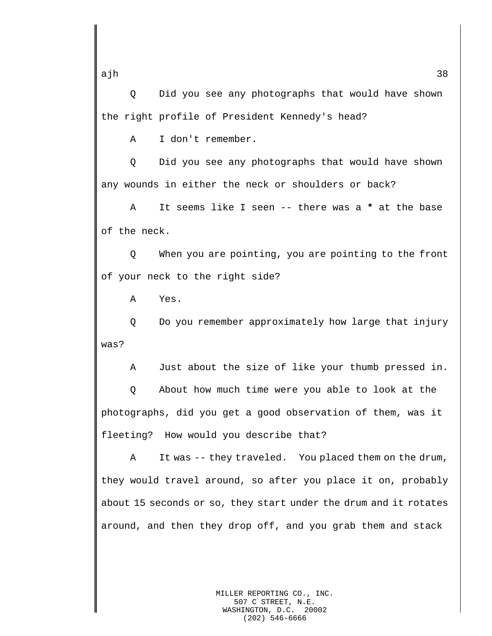Q Did you see any photographs that would have shown the right profile of President Kennedy's head?

A I don't remember.

Q Did you see any photographs that would have shown any wounds in either the neck or shoulders or back?

A It seems like I seen -- there was a **\*** at the base of the neck.

Q When you are pointing, you are pointing to the front of your neck to the right side?

A Yes.

Q Do you remember approximately how large that injury was?

A Just about the size of like your thumb pressed in.

Q About how much time were you able to look at the photographs, did you get a good observation of them, was it fleeting? How would you describe that?

A It was -- they traveled. You placed them on the drum, they would travel around, so after you place it on, probably about 15 seconds or so, they start under the drum and it rotates around, and then they drop off, and you grab them and stack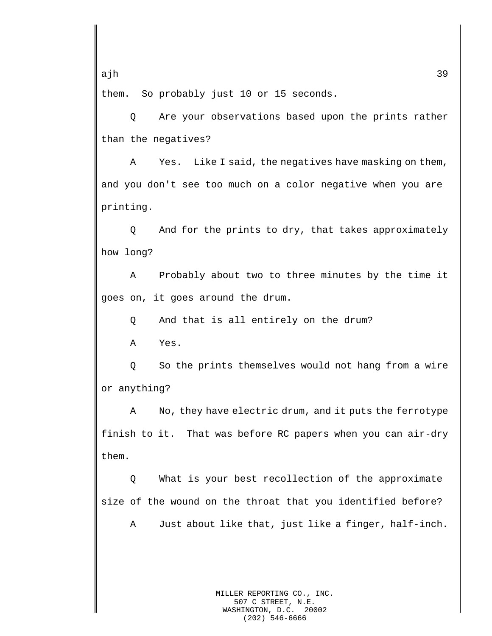them. So probably just 10 or 15 seconds.

Q Are your observations based upon the prints rather than the negatives?

A Yes. Like I said, the negatives have masking on them, and you don't see too much on a color negative when you are printing.

Q And for the prints to dry, that takes approximately how long?

A Probably about two to three minutes by the time it goes on, it goes around the drum.

Q And that is all entirely on the drum?

A Yes.

Q So the prints themselves would not hang from a wire or anything?

A No, they have electric drum, and it puts the ferrotype finish to it. That was before RC papers when you can air-dry them.

Q What is your best recollection of the approximate size of the wound on the throat that you identified before?

A Just about like that, just like a finger, half-inch.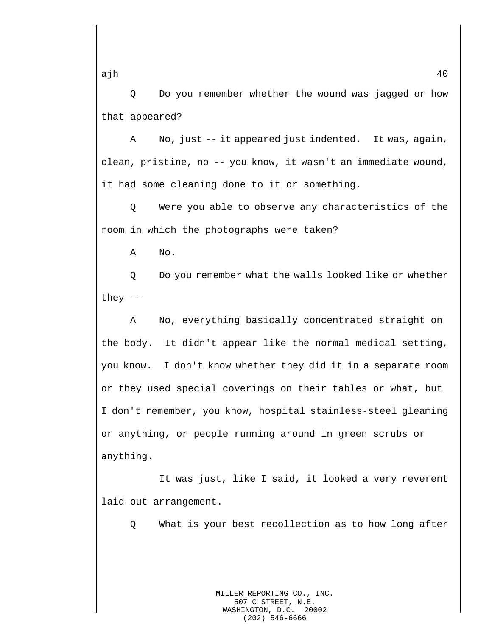Q Do you remember whether the wound was jagged or how that appeared?

A No, just -- it appeared just indented. It was, again, clean, pristine, no -- you know, it wasn't an immediate wound, it had some cleaning done to it or something.

Q Were you able to observe any characteristics of the room in which the photographs were taken?

A No.

Q Do you remember what the walls looked like or whether they --

A No, everything basically concentrated straight on the body. It didn't appear like the normal medical setting, you know. I don't know whether they did it in a separate room or they used special coverings on their tables or what, but I don't remember, you know, hospital stainless-steel gleaming or anything, or people running around in green scrubs or anything.

It was just, like I said, it looked a very reverent laid out arrangement.

Q What is your best recollection as to how long after

ajh 40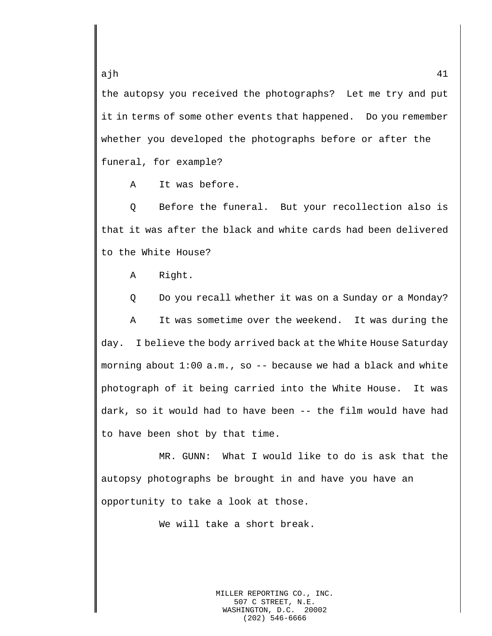the autopsy you received the photographs? Let me try and put it in terms of some other events that happened. Do you remember whether you developed the photographs before or after the funeral, for example?

A It was before.

Q Before the funeral. But your recollection also is that it was after the black and white cards had been delivered to the White House?

A Right.

Q Do you recall whether it was on a Sunday or a Monday? A It was sometime over the weekend. It was during the day. I believe the body arrived back at the White House Saturday

morning about  $1:00$  a.m., so  $-$ - because we had a black and white photograph of it being carried into the White House. It was dark, so it would had to have been -- the film would have had to have been shot by that time.

MR. GUNN: What I would like to do is ask that the autopsy photographs be brought in and have you have an opportunity to take a look at those.

We will take a short break.

MILLER REPORTING CO., INC. 507 C STREET, N.E. WASHINGTON, D.C. 20002 (202) 546-6666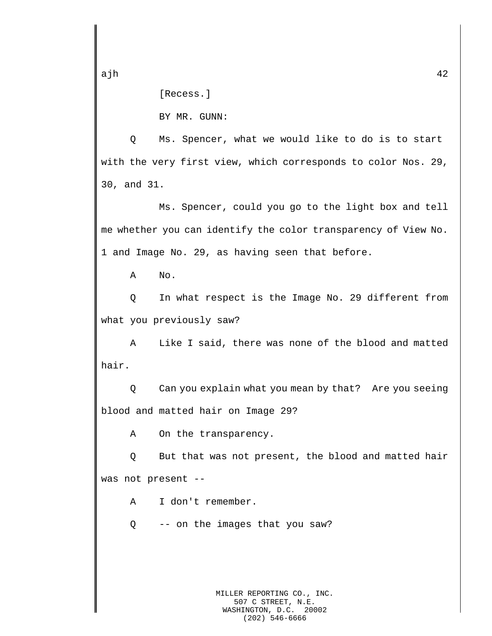[Recess.]

BY MR. GUNN:

Q Ms. Spencer, what we would like to do is to start with the very first view, which corresponds to color Nos. 29, 30, and 31.

Ms. Spencer, could you go to the light box and tell me whether you can identify the color transparency of View No. 1 and Image No. 29, as having seen that before.

A No.

Q In what respect is the Image No. 29 different from what you previously saw?

A Like I said, there was none of the blood and matted hair.

Q Can you explain what you mean by that? Are you seeing blood and matted hair on Image 29?

A On the transparency.

Q But that was not present, the blood and matted hair was not present --

A I don't remember.

Q -- on the images that you saw?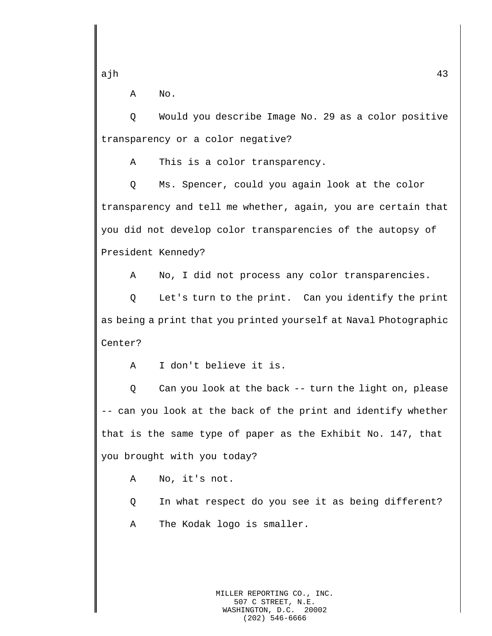A No.

Q Would you describe Image No. 29 as a color positive transparency or a color negative?

A This is a color transparency.

Q Ms. Spencer, could you again look at the color transparency and tell me whether, again, you are certain that you did not develop color transparencies of the autopsy of President Kennedy?

A No, I did not process any color transparencies.

Q Let's turn to the print. Can you identify the print as being a print that you printed yourself at Naval Photographic Center?

A I don't believe it is.

Q Can you look at the back -- turn the light on, please -- can you look at the back of the print and identify whether that is the same type of paper as the Exhibit No. 147, that you brought with you today?

A No, it's not.

Q In what respect do you see it as being different?

A The Kodak logo is smaller.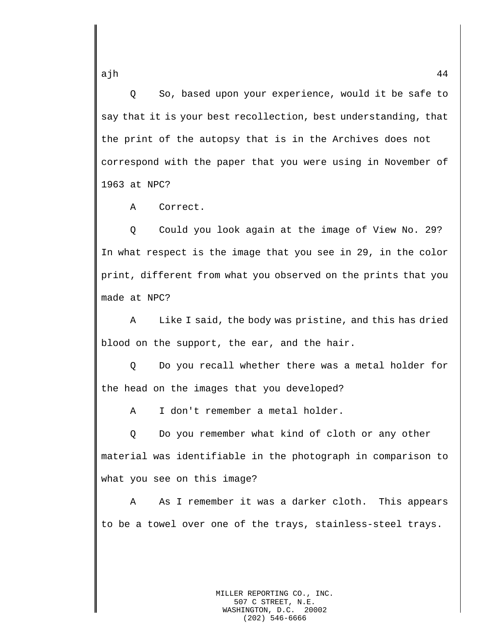Q So, based upon your experience, would it be safe to say that it is your best recollection, best understanding, that the print of the autopsy that is in the Archives does not correspond with the paper that you were using in November of 1963 at NPC?

A Correct.

Q Could you look again at the image of View No. 29? In what respect is the image that you see in 29, in the color print, different from what you observed on the prints that you made at NPC?

A Like I said, the body was pristine, and this has dried blood on the support, the ear, and the hair.

Q Do you recall whether there was a metal holder for the head on the images that you developed?

A I don't remember a metal holder.

Q Do you remember what kind of cloth or any other material was identifiable in the photograph in comparison to what you see on this image?

A As I remember it was a darker cloth. This appears to be a towel over one of the trays, stainless-steel trays.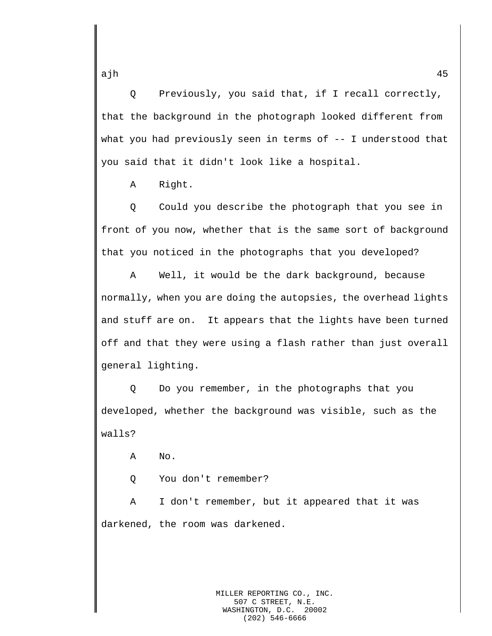Q Previously, you said that, if I recall correctly, that the background in the photograph looked different from what you had previously seen in terms of -- I understood that you said that it didn't look like a hospital.

A Right.

Q Could you describe the photograph that you see in front of you now, whether that is the same sort of background that you noticed in the photographs that you developed?

A Well, it would be the dark background, because normally, when you are doing the autopsies, the overhead lights and stuff are on. It appears that the lights have been turned off and that they were using a flash rather than just overall general lighting.

Q Do you remember, in the photographs that you developed, whether the background was visible, such as the walls?

A No.

Q You don't remember?

A I don't remember, but it appeared that it was darkened, the room was darkened.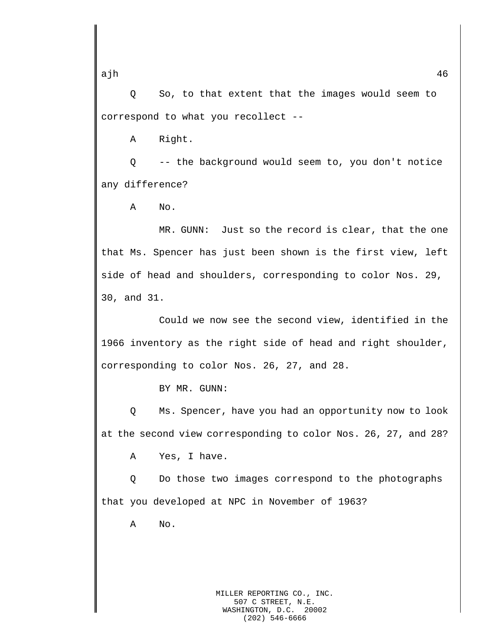Q So, to that extent that the images would seem to correspond to what you recollect --

A Right.

Q -- the background would seem to, you don't notice any difference?

A No.

MR. GUNN: Just so the record is clear, that the one that Ms. Spencer has just been shown is the first view, left side of head and shoulders, corresponding to color Nos. 29, 30, and 31.

Could we now see the second view, identified in the 1966 inventory as the right side of head and right shoulder, corresponding to color Nos. 26, 27, and 28.

BY MR. GUNN:

Q Ms. Spencer, have you had an opportunity now to look at the second view corresponding to color Nos. 26, 27, and 28?

A Yes, I have.

Q Do those two images correspond to the photographs that you developed at NPC in November of 1963?

A No.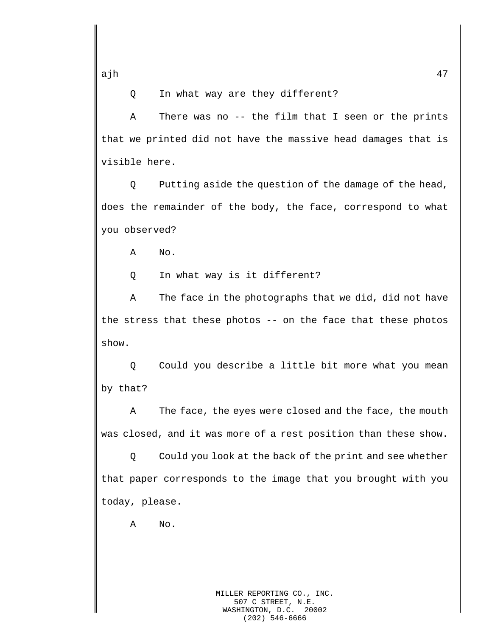Q In what way are they different?

A There was no -- the film that I seen or the prints that we printed did not have the massive head damages that is visible here.

Q Putting aside the question of the damage of the head, does the remainder of the body, the face, correspond to what you observed?

A No.

Q In what way is it different?

A The face in the photographs that we did, did not have the stress that these photos -- on the face that these photos show.

Q Could you describe a little bit more what you mean by that?

A The face, the eyes were closed and the face, the mouth was closed, and it was more of a rest position than these show.

Q Could you look at the back of the print and see whether that paper corresponds to the image that you brought with you today, please.

A No.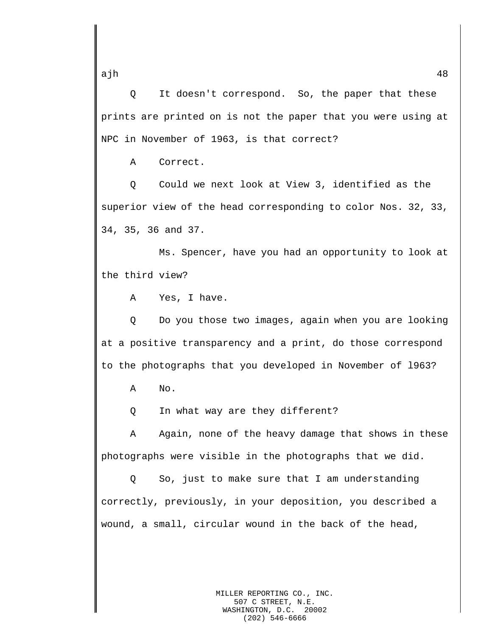Q It doesn't correspond. So, the paper that these prints are printed on is not the paper that you were using at NPC in November of 1963, is that correct?

A Correct.

Q Could we next look at View 3, identified as the superior view of the head corresponding to color Nos. 32, 33, 34, 35, 36 and 37.

Ms. Spencer, have you had an opportunity to look at the third view?

A Yes, I have.

Q Do you those two images, again when you are looking at a positive transparency and a print, do those correspond to the photographs that you developed in November of l963?

A No.

Q In what way are they different?

A Again, none of the heavy damage that shows in these photographs were visible in the photographs that we did.

Q So, just to make sure that I am understanding correctly, previously, in your deposition, you described a wound, a small, circular wound in the back of the head,

MILLER REPORTING CO., INC.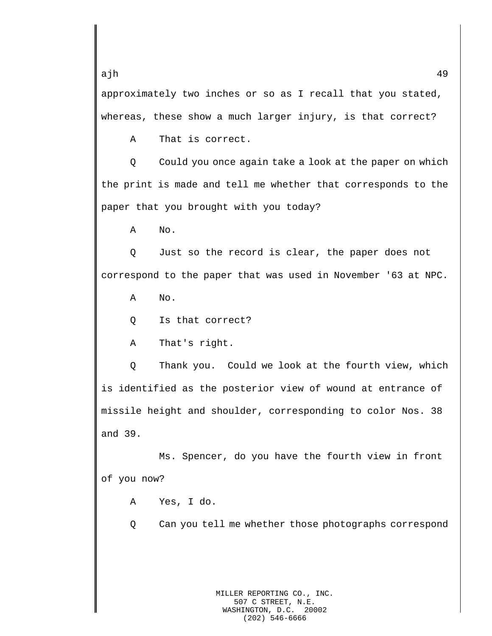approximately two inches or so as I recall that you stated, whereas, these show a much larger injury, is that correct?

A That is correct.

Q Could you once again take a look at the paper on which the print is made and tell me whether that corresponds to the paper that you brought with you today?

A No.

Q Just so the record is clear, the paper does not correspond to the paper that was used in November '63 at NPC.

A No.

Q Is that correct?

A That's right.

Q Thank you. Could we look at the fourth view, which is identified as the posterior view of wound at entrance of missile height and shoulder, corresponding to color Nos. 38 and 39.

Ms. Spencer, do you have the fourth view in front of you now?

A Yes, I do.

Q Can you tell me whether those photographs correspond

ajh 49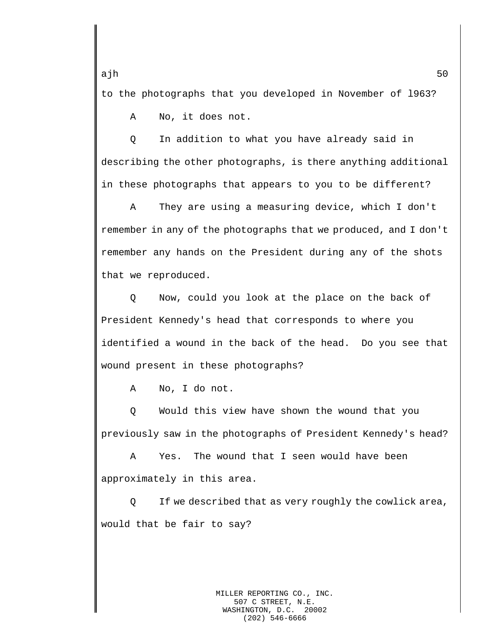to the photographs that you developed in November of l963?

A No, it does not.

Q In addition to what you have already said in describing the other photographs, is there anything additional in these photographs that appears to you to be different?

A They are using a measuring device, which I don't remember in any of the photographs that we produced, and I don't remember any hands on the President during any of the shots that we reproduced.

Q Now, could you look at the place on the back of President Kennedy's head that corresponds to where you identified a wound in the back of the head. Do you see that wound present in these photographs?

A No, I do not.

Q Would this view have shown the wound that you previously saw in the photographs of President Kennedy's head?

A Yes. The wound that I seen would have been approximately in this area.

Q If we described that as very roughly the cowlick area, would that be fair to say?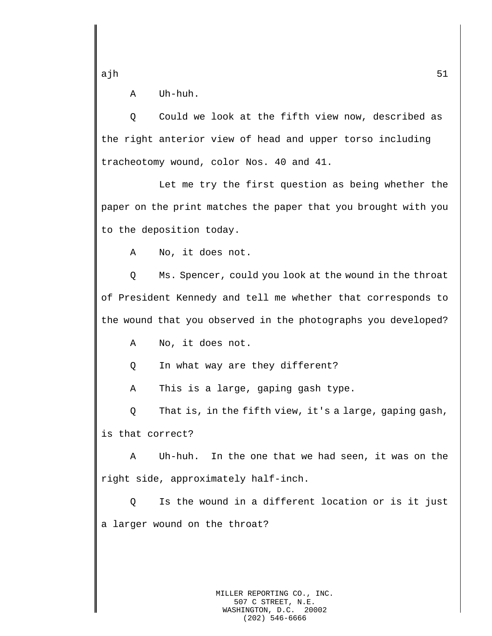A Uh-huh.

Q Could we look at the fifth view now, described as the right anterior view of head and upper torso including tracheotomy wound, color Nos. 40 and 41.

Let me try the first question as being whether the paper on the print matches the paper that you brought with you to the deposition today.

A No, it does not.

Q Ms. Spencer, could you look at the wound in the throat of President Kennedy and tell me whether that corresponds to the wound that you observed in the photographs you developed?

A No, it does not.

Q In what way are they different?

A This is a large, gaping gash type.

Q That is, in the fifth view, it's a large, gaping gash, is that correct?

A Uh-huh. In the one that we had seen, it was on the right side, approximately half-inch.

Q Is the wound in a different location or is it just a larger wound on the throat?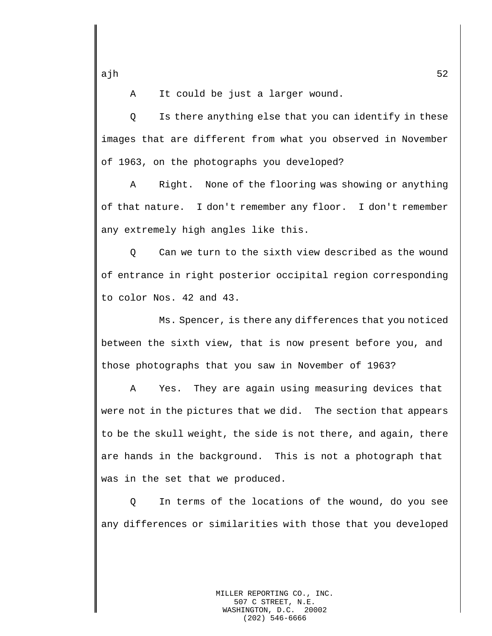A It could be just a larger wound.

Q Is there anything else that you can identify in these images that are different from what you observed in November of 1963, on the photographs you developed?

A Right. None of the flooring was showing or anything of that nature. I don't remember any floor. I don't remember any extremely high angles like this.

Q Can we turn to the sixth view described as the wound of entrance in right posterior occipital region corresponding to color Nos. 42 and 43.

Ms. Spencer, is there any differences that you noticed between the sixth view, that is now present before you, and those photographs that you saw in November of 1963?

A Yes. They are again using measuring devices that were not in the pictures that we did. The section that appears to be the skull weight, the side is not there, and again, there are hands in the background. This is not a photograph that was in the set that we produced.

Q In terms of the locations of the wound, do you see any differences or similarities with those that you developed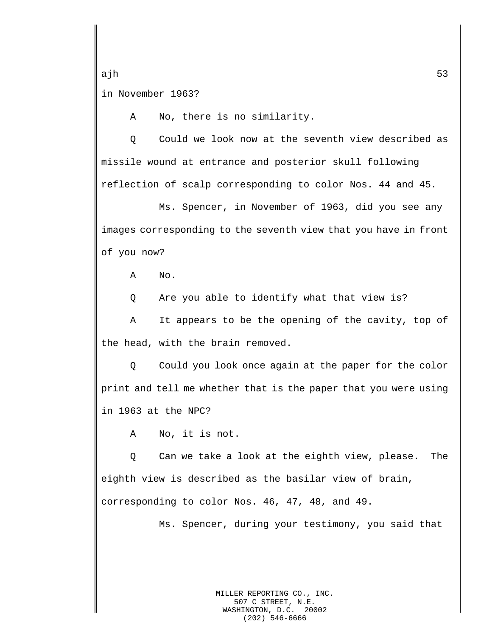ajh 53 in November 1963?

A No, there is no similarity.

Q Could we look now at the seventh view described as missile wound at entrance and posterior skull following reflection of scalp corresponding to color Nos. 44 and 45.

Ms. Spencer, in November of 1963, did you see any images corresponding to the seventh view that you have in front of you now?

A No.

Q Are you able to identify what that view is?

A It appears to be the opening of the cavity, top of the head, with the brain removed.

Q Could you look once again at the paper for the color print and tell me whether that is the paper that you were using in 1963 at the NPC?

A No, it is not.

Q Can we take a look at the eighth view, please. The eighth view is described as the basilar view of brain, corresponding to color Nos. 46, 47, 48, and 49.

Ms. Spencer, during your testimony, you said that

MILLER REPORTING CO., INC. 507 C STREET, N.E. WASHINGTON, D.C. 20002 (202) 546-6666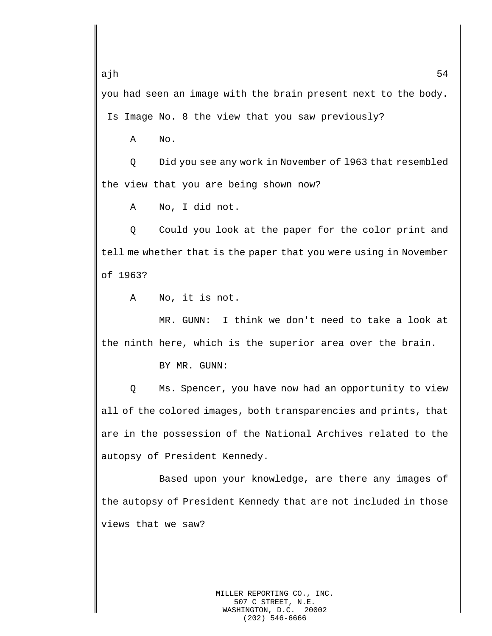ajh 54 you had seen an image with the brain present next to the body.

Is Image No. 8 the view that you saw previously?

A No.

Q Did you see any work in November of l963 that resembled the view that you are being shown now?

A No, I did not.

Q Could you look at the paper for the color print and tell me whether that is the paper that you were using in November of 1963?

A No, it is not.

MR. GUNN: I think we don't need to take a look at the ninth here, which is the superior area over the brain.

BY MR. GUNN:

Q Ms. Spencer, you have now had an opportunity to view all of the colored images, both transparencies and prints, that are in the possession of the National Archives related to the autopsy of President Kennedy.

Based upon your knowledge, are there any images of the autopsy of President Kennedy that are not included in those views that we saw?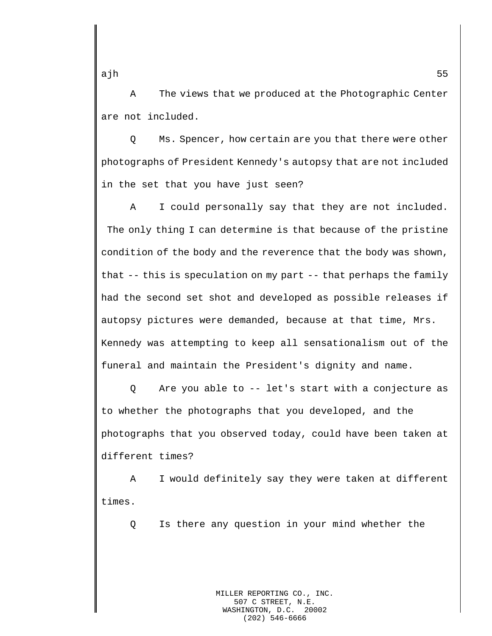A The views that we produced at the Photographic Center are not included.

Q Ms. Spencer, how certain are you that there were other photographs of President Kennedy's autopsy that are not included in the set that you have just seen?

A I could personally say that they are not included. The only thing I can determine is that because of the pristine condition of the body and the reverence that the body was shown, that -- this is speculation on my part -- that perhaps the family had the second set shot and developed as possible releases if autopsy pictures were demanded, because at that time, Mrs. Kennedy was attempting to keep all sensationalism out of the funeral and maintain the President's dignity and name.

Q Are you able to -- let's start with a conjecture as to whether the photographs that you developed, and the photographs that you observed today, could have been taken at different times?

A I would definitely say they were taken at different times.

Q Is there any question in your mind whether the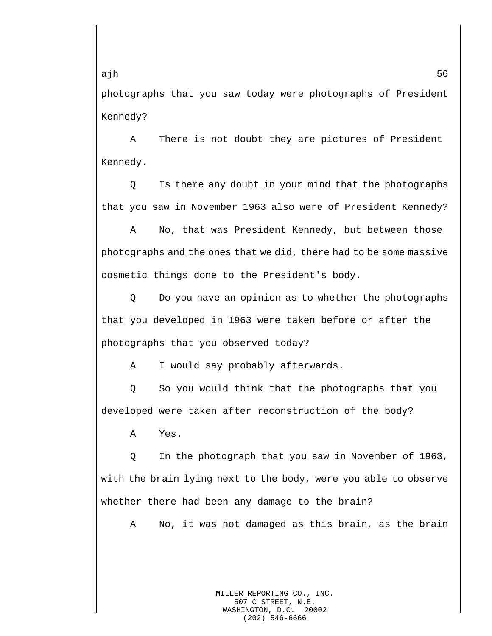photographs that you saw today were photographs of President Kennedy?

A There is not doubt they are pictures of President Kennedy.

Q Is there any doubt in your mind that the photographs that you saw in November 1963 also were of President Kennedy?

A No, that was President Kennedy, but between those photographs and the ones that we did, there had to be some massive cosmetic things done to the President's body.

Q Do you have an opinion as to whether the photographs that you developed in 1963 were taken before or after the photographs that you observed today?

A I would say probably afterwards.

Q So you would think that the photographs that you developed were taken after reconstruction of the body?

A Yes.

Q In the photograph that you saw in November of 1963, with the brain lying next to the body, were you able to observe whether there had been any damage to the brain?

A No, it was not damaged as this brain, as the brain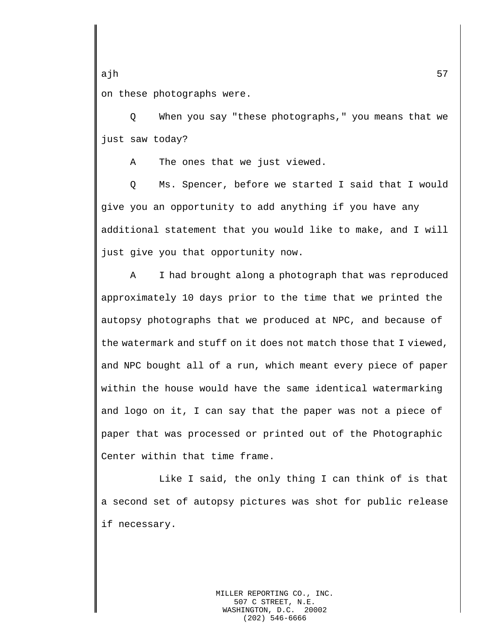ajh 57 on these photographs were.

Q When you say "these photographs," you means that we just saw today?

A The ones that we just viewed.

Q Ms. Spencer, before we started I said that I would give you an opportunity to add anything if you have any additional statement that you would like to make, and I will just give you that opportunity now.

A I had brought along a photograph that was reproduced approximately 10 days prior to the time that we printed the autopsy photographs that we produced at NPC, and because of the watermark and stuff on it does not match those that I viewed, and NPC bought all of a run, which meant every piece of paper within the house would have the same identical watermarking and logo on it, I can say that the paper was not a piece of paper that was processed or printed out of the Photographic Center within that time frame.

Like I said, the only thing I can think of is that a second set of autopsy pictures was shot for public release if necessary.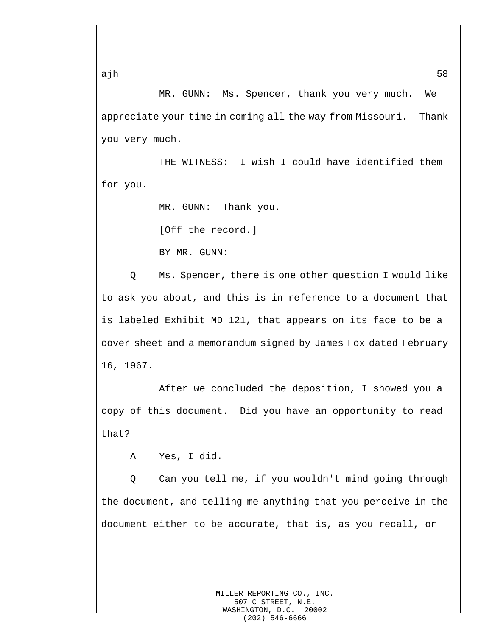MR. GUNN: Ms. Spencer, thank you very much. We appreciate your time in coming all the way from Missouri. Thank you very much.

THE WITNESS: I wish I could have identified them for you.

MR. GUNN: Thank you.

[Off the record.]

BY MR. GUNN:

Q Ms. Spencer, there is one other question I would like to ask you about, and this is in reference to a document that is labeled Exhibit MD 121, that appears on its face to be a cover sheet and a memorandum signed by James Fox dated February 16, 1967.

After we concluded the deposition, I showed you a copy of this document. Did you have an opportunity to read that?

A Yes, I did.

Q Can you tell me, if you wouldn't mind going through the document, and telling me anything that you perceive in the document either to be accurate, that is, as you recall, or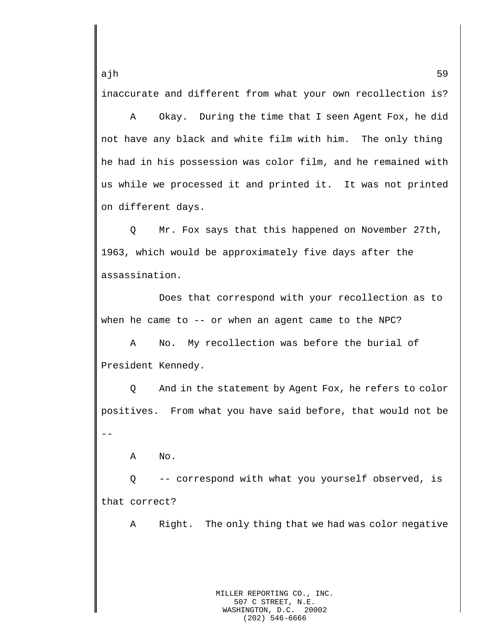inaccurate and different from what your own recollection is?

A Okay. During the time that I seen Agent Fox, he did not have any black and white film with him. The only thing he had in his possession was color film, and he remained with us while we processed it and printed it. It was not printed on different days.

Q Mr. Fox says that this happened on November 27th, 1963, which would be approximately five days after the assassination.

Does that correspond with your recollection as to when he came to -- or when an agent came to the NPC?

A No. My recollection was before the burial of President Kennedy.

Q And in the statement by Agent Fox, he refers to color positives. From what you have said before, that would not be --

A No.

Q -- correspond with what you yourself observed, is that correct?

A Right. The only thing that we had was color negative